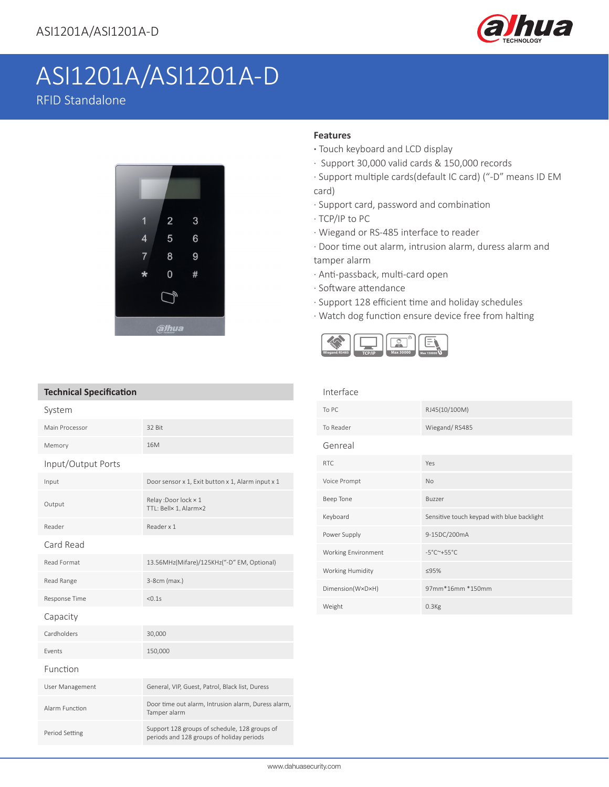

# ASI1201A/ASI1201A-D RFID Standalone



### **Features**

- **·** Touch keyboard and LCD display
- · Support 30,000 valid cards & 150,000 records
- · Support multiple cards(default IC card) ("-D" means ID EM card)
- · Support card, password and combination
- · TCP/IP to PC
- · Wiegand or RS-485 interface to reader
- · Door time out alarm, intrusion alarm, duress alarm and tamper alarm
- 
- · Anti-passback, multi-card open
- · Software attendance
- · Support 128 efficient time and holiday schedules
- · Watch dog function ensure device free from halting



| <b>Technical Specification</b> |                                                                                            |
|--------------------------------|--------------------------------------------------------------------------------------------|
| System                         |                                                                                            |
| Main Processor                 | 32 Bit                                                                                     |
| Memory                         | 16M                                                                                        |
| Input/Output Ports             |                                                                                            |
| Input                          | Door sensor x 1, Exit button x 1, Alarm input x 1                                          |
| Output                         | Relay: Door lock × 1<br>TTL: Bell× 1, Alarm×2                                              |
| Reader                         | Reader x 1                                                                                 |
| Card Read                      |                                                                                            |
| Read Format                    | 13.56MHz(Mifare)/125KHz("-D" EM, Optional)                                                 |
| Read Range                     | 3-8cm (max.)                                                                               |
| Response Time                  | < 0.1s                                                                                     |
| Capacity                       |                                                                                            |
| Cardholders                    | 30,000                                                                                     |
| Events                         | 150,000                                                                                    |
| Function                       |                                                                                            |
| User Management                | General, VIP, Guest, Patrol, Black list, Duress                                            |
| Alarm Function                 | Door time out alarm, Intrusion alarm, Duress alarm,<br>Tamper alarm                        |
| Period Setting                 | Support 128 groups of schedule, 128 groups of<br>periods and 128 groups of holiday periods |

| Interface           |                                            |
|---------------------|--------------------------------------------|
| To PC               | RJ45(10/100M)                              |
| To Reader           | Wiegand/RS485                              |
| Genreal             |                                            |
| <b>RTC</b>          | Yes                                        |
| Voice Prompt        | <b>No</b>                                  |
| Beep Tone           | Buzzer                                     |
| Keyboard            | Sensitive touch keypad with blue backlight |
| Power Supply        | 9-15DC/200mA                               |
| Working Environment | $-5^{\circ}$ C $^{\sim}$ +55°C             |
| Working Humidity    | ≤95%                                       |
| Dimension(W×D×H)    | 97mm*16mm *150mm                           |
| Weight              | $0.3$ <sub>Kg</sub>                        |